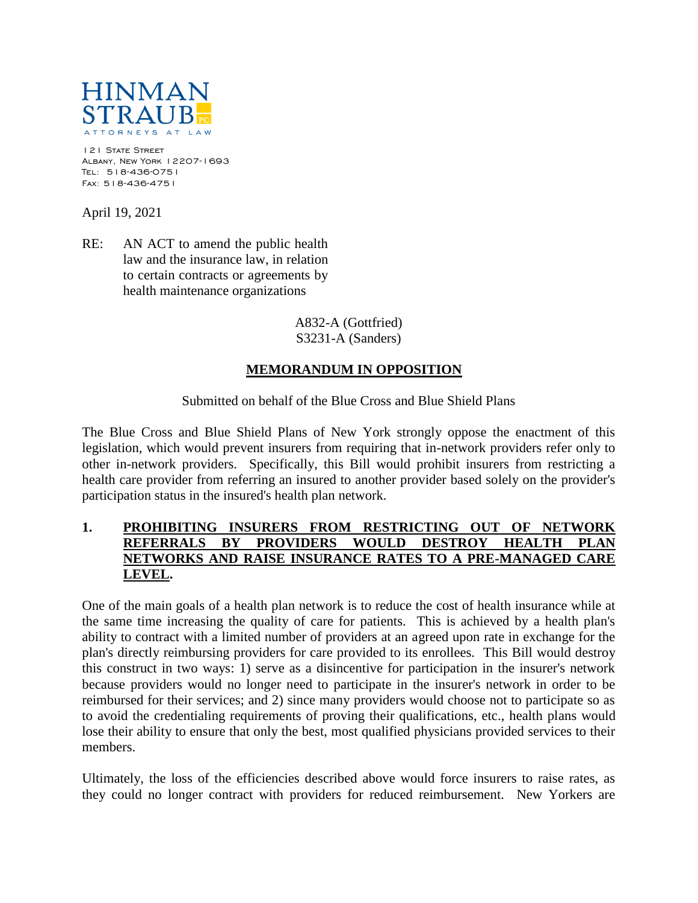

121 STATE STREET Albany, New York 12207-1693 Tel: 518-436-0751 Fax: 518-436-4751

April 19, 2021

RE: AN ACT to amend the public health law and the insurance law, in relation to certain contracts or agreements by health maintenance organizations

> A832-A (Gottfried) S3231-A (Sanders)

## **MEMORANDUM IN OPPOSITION**

## Submitted on behalf of the Blue Cross and Blue Shield Plans

The Blue Cross and Blue Shield Plans of New York strongly oppose the enactment of this legislation, which would prevent insurers from requiring that in-network providers refer only to other in-network providers. Specifically, this Bill would prohibit insurers from restricting a health care provider from referring an insured to another provider based solely on the provider's participation status in the insured's health plan network.

## **1. PROHIBITING INSURERS FROM RESTRICTING OUT OF NETWORK REFERRALS BY PROVIDERS WOULD DESTROY HEALTH PLAN NETWORKS AND RAISE INSURANCE RATES TO A PRE-MANAGED CARE LEVEL.**

One of the main goals of a health plan network is to reduce the cost of health insurance while at the same time increasing the quality of care for patients. This is achieved by a health plan's ability to contract with a limited number of providers at an agreed upon rate in exchange for the plan's directly reimbursing providers for care provided to its enrollees. This Bill would destroy this construct in two ways: 1) serve as a disincentive for participation in the insurer's network because providers would no longer need to participate in the insurer's network in order to be reimbursed for their services; and 2) since many providers would choose not to participate so as to avoid the credentialing requirements of proving their qualifications, etc., health plans would lose their ability to ensure that only the best, most qualified physicians provided services to their members.

Ultimately, the loss of the efficiencies described above would force insurers to raise rates, as they could no longer contract with providers for reduced reimbursement. New Yorkers are